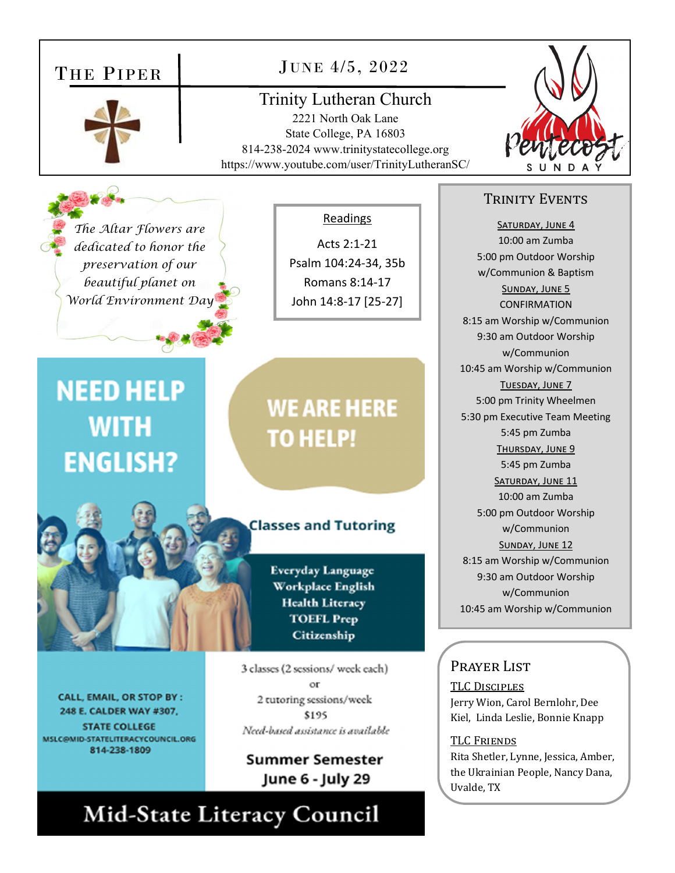### THE PIPER

#### JUNE 4/5, 2022

Trinity Lutheran Church 2221 North Oak Lane State College, PA 16803 814-238-2024 www.trinitystatecollege.org https://www.youtube.com/user/TrinityLutheranSC/

*The Altar Flowers are dedicated to honor the preservation of our beautiful planet on World Environment Day* 

#### Readings

Acts 2:1‐21 Psalm 104:24‐34, 35b Romans 8:14‐17 John 14:8‐17 [25‐27]

## **NEED HELP WITH ENGLISH?**



CALL, EMAIL, OR STOP BY : 248 E. CALDER WAY #307, **STATE COLLEGE** MSLC@MID-STATELITERACYCOUNCIL.ORG 814-238-1809

## **WE ARE HERE TO HELP!**

#### **Classes and Tutoring**

Everyday Language Workplace English **Health Literacy TOEFL Prep** Citizenship

3 classes (2 sessions/ week each) 2 tutoring sessions/week \$195 Need-based assistance is available

**Summer Semester** June 6 - July 29

### Mid-State Literacy Council



#### TRINITY EVENTS

SATURDAY, JUNE 4 10:00 am Zumba 5:00 pm Outdoor Worship w/Communion & Baptism SUNDAY, JUNE 5 CONFIRMATION 8:15 am Worship w/Communion 9:30 am Outdoor Worship w/Communion 10:45 am Worship w/Communion TUESDAY, JUNE 7 5:00 pm Trinity Wheelmen 5:30 pm Executive Team Meeting 5:45 pm Zumba THURSDAY, JUNE 9 5:45 pm Zumba SATURDAY, JUNE 11 10:00 am Zumba 5:00 pm Outdoor Worship w/Communion SUNDAY, JUNE 12 8:15 am Worship w/Communion 9:30 am Outdoor Worship w/Communion 10:45 am Worship w/Communion

#### Prayer List

TLC DISCIPLES Jerry Wion, Carol Bernlohr, Dee Kiel, Linda Leslie, Bonnie Knapp

**TLC FRIENDS** Rita Shetler, Lynne, Jessica, Amber, the Ukrainian People, Nancy Dana, Uvalde, TX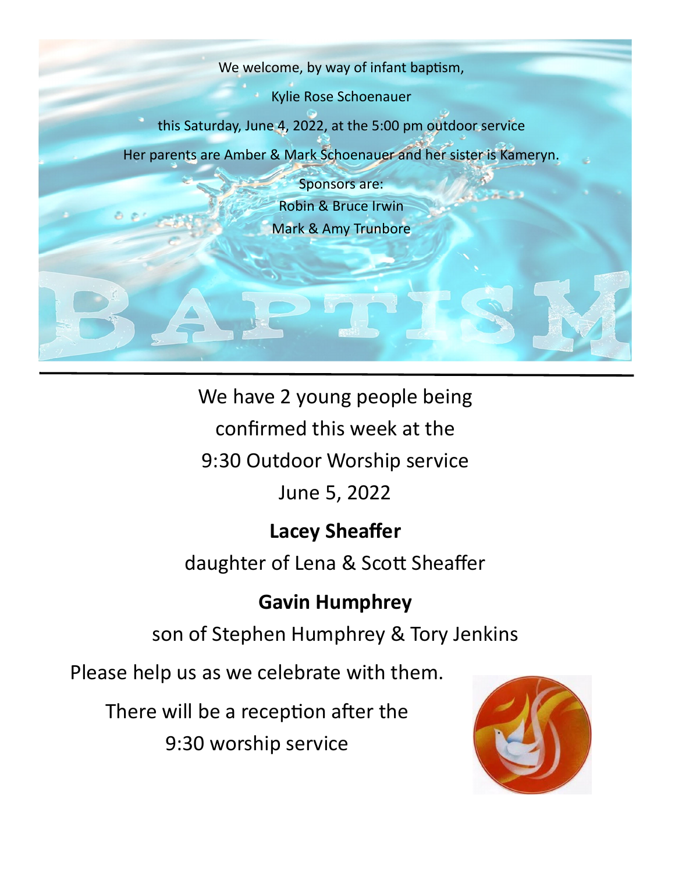

We have 2 young people being

confirmed this week at the

9:30 Outdoor Worship service

### June 5, 2022

### **Lacey Sheaffer**

daughter of Lena & Scott Sheaffer

### **Gavin Humphrey**

son of Stephen Humphrey & Tory Jenkins

Please help us as we celebrate with them.

There will be a reception after the

9:30 worship service